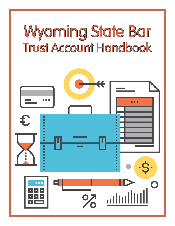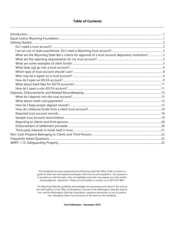# **Table of Contents**

| What are the Wyoming State Bar's criteria for approval of a trust account depository institution? 2 |  |
|-----------------------------------------------------------------------------------------------------|--|
|                                                                                                     |  |
|                                                                                                     |  |
|                                                                                                     |  |
|                                                                                                     |  |
|                                                                                                     |  |
|                                                                                                     |  |
|                                                                                                     |  |
|                                                                                                     |  |
|                                                                                                     |  |
|                                                                                                     |  |
|                                                                                                     |  |
|                                                                                                     |  |
|                                                                                                     |  |
|                                                                                                     |  |
|                                                                                                     |  |
|                                                                                                     |  |
|                                                                                                     |  |
|                                                                                                     |  |
|                                                                                                     |  |
|                                                                                                     |  |
|                                                                                                     |  |

This handbook has been prepared by the Wyoming State Bar Office of Bar Counsel as a guide for both new and experienced lawyers with trust account questions. Our purpose is to provide you with the basic rules and highlight areas that may require your best professional judgment. Questions? Please do not hesitate to contact us at (307) 632-9061.

The Wyoming State Bar gratefully acknowledges the pioneering work done in this area by the staff auditors in the Office of Disciplinary Counsel of the Washington State Bar Association, and the Washington State Bar Association's generous permission to use its publication, Managing Client Trust Accounts, as the basis for this handbook.

**First Publication – December 2016**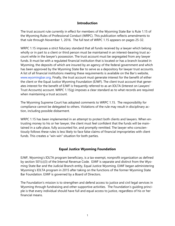# **Introduction**

The trust account rule currently in effect for members of the Wyoming State Bar is Rule 1.15 of the Wyoming Rules of Professional Conduct (WRPC). This publication reflects amendments to that rule through November 1, 2016. The full text of WRPC 1.15 appears on pages 25-32.

WRPC 1.15 imposes a strict fiduciary standard that all funds received by a lawyer which belong wholly or in part to a client or third person must be maintained in an interest-bearing trust account while in the lawyer's possession. The trust account must be segregated from any lawyer funds. It must be with a regulated financial institution that is located or has a branch located in Wyoming, the deposits of which are insured by an agency of the federal government and which has been approved by the Wyoming State Bar to serve as a depository for lawyer trust accounts. A list of all financial institutions meeting these requirements is available on the Bar's website, [www.wyomingbar.org.](http://www.wyomingbar.org/) Finally, the trust account must generate interest for the benefit of either the client or the Equal Justice Wyoming Foundation (EJWF). The client trust account that generates interest for the benefit of EJWF is frequently referred to as an IOLTA (Interest on Lawyers' Trust Accounts) account. WRPC 1.15(g) imposes a clear standard as to what records are required when maintaining a trust account.

The Wyoming Supreme Court has adopted comments to WRPC 1.15. The responsibility for compliance cannot be delegated to others. Violations of the rule may result in disciplinary action, including possible disbarment.

WRPC 1.15 has been implemented in an attempt to protect both clients and lawyers. When entrusting money to his or her lawyer, the client must feel confident that the funds will be maintained in a safe place, fully accounted for, and promptly remitted. The lawyer who conscientiously follows these rules is less likely to face false claims of financial improprieties with client funds. This creates a "win-win" situation for both parties.

# **Equal Justice Wyoming Foundation**

EJWF, Wyoming's IOLTA program beneficiary, is a tax-exempt, nonprofit organization as defined by section 501(c)(3) of the Internal Revenue Code. EJWF is separate and distinct from the Wyoming State Bar and the Judicial Branch entity, Equal Justice Wyoming. EJWF began administering Wyoming's IOLTA program in 2015 after taking on the functions of the former Wyoming State Bar Foundation. EJWF is governed by a Board of Directors.

The Foundation's mission is to strengthen and defend access to justice and civil legal services in Wyoming through fundraising and other supportive activities. The Foundation's guiding principle is that every individual should have full and equal access to justice, regardless of his or her financial means.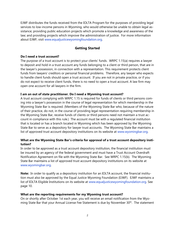EJWF distributes the funds received from the IOLTA Program for the purposes of providing legal services to low-income persons in Wyoming, who would otherwise be unable to obtain legal assistance; providing public education projects which promote a knowledge and awareness of the law; and providing projects which improve the administration of justice. For more information about EJWF, visit [www.equaljusticewyomingfoundation.org.](http://www.equaljusticewyomingfoundation.org/)

# **Getting Started**

# **Do I need a trust account?**

The purpose of a trust account is to protect your clients' funds. WRPC 1.15(a) requires a lawyer to deposit and hold in a trust account any funds belonging to a client or third person, that are in the lawyer's possession, in connection with a representation. This requirement protects client funds from lawyers' creditors or personal financial problems. Therefore, any lawyer who expects to handle client funds should open a trust account. If you are not in private practice, or if you do not expect to receive client funds, there is no need to open a trust account. A law firm may open one account for all lawyers in the firm.

# **I am an out of state practitioner. Do I need a Wyoming trust account?**

A trust account complying with WRPC 1.15 is required for funds of clients or third persons coming into a lawyer's possession in the course of legal representation for which membership in the Wyoming State Bar is required. (Members of the Wyoming State Bar who, because of the nature of their practice, do not, in the course of providing legal representation requiring membership in the Wyoming State Bar, receive funds of clients or third persons need not maintain a trust account in compliance with this rule.) The account must be with a regulated financial institution that is located or has a branch located in Wyoming which has been approved by the Wyoming State Bar to serve as a depository for lawyer trust accounts. The Wyoming State Bar maintains a list of approved trust account depository institutions on its website at [www.wyomingbar.org.](http://www.wyomingbar.org/)

# **What are the Wyoming State Bar's criteria for approval of a trust account depository institution?**

In order to be approved as a trust account depository institution, the financial institution must be insured by an agency of the federal government and must have a Trust Account Overdraft Notification Agreement on file with the Wyoming State Bar. See WRPC 1.15(b). The Wyoming State Bar maintains a list of approved trust account depository institutions on its website at [www.wyomingbar.org.](http://www.wyomingbar.org/)

**Note:** In order to qualify as a depository institution for an IOLTA account, the financial institution must also be approved by the Equal Justice Wyoming Foundation (EJWF). EJWF maintains a list of IOLTA Eligible Institutions on its website at [www.equaljusticewyomingfoundation.org.](http://www.equaljusticewyomingfoundation.org/) See page 10.

# **What are the reporting requirements for my Wyoming trust account?**

On or shortly after October 1st each year, you will receive an email notification from the Wyoming State Bar that your Annual License Fee Statement is due by November 30<sup>th</sup>. The statement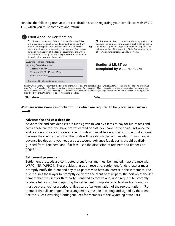contains the following trust account certification section regarding your compliance with WRPC 1.15, which you must complete and return:

| <b>Trust Account Certification</b><br>I have complied with Rule 1.15 of the Wyoming Rules<br>п<br>of Professional Conduct by maintaining a trust account with<br>a bank or savings and loan association that is located or<br>has a branch located in Wyoming, the deposits of which are<br>insured by an agency of the federal government and which<br>has been approved by the Wyoming State Bar to serve as a<br>depository for lawyer trust accounts. | or | I am not required to maintain a Wyoming trust account<br>п.<br>because the nature of my practice is such that I do not, in<br>the course of providing legal representation requiring me<br>to be a member of the Wyoming State Bar, receive funds<br>of clients or third persons. See Rule 1.15(h). |
|-----------------------------------------------------------------------------------------------------------------------------------------------------------------------------------------------------------------------------------------------------------------------------------------------------------------------------------------------------------------------------------------------------------------------------------------------------------|----|-----------------------------------------------------------------------------------------------------------------------------------------------------------------------------------------------------------------------------------------------------------------------------------------------------|
| Wyoming Financial Institution: Wyoming Financial Institution:<br>Wyoming Branch Location: New York Contract Contract Contract Contract Contract Contract Contract Contract Contract Contract Contract Contract Contract Contract Contract Contract Contract Contract Contract Contract Contract<br>Account Number: Account Number:<br>Wyoming IOLTA: TYes TNo<br>Name of Account: Name of Account:<br>Attach additional sheets as necessary               |    | Section 8 MUST be<br>completed by ALL members.                                                                                                                                                                                                                                                      |

Vvo-Conduct to maintain a separate account for the deposit of funds belonging to clients or third parties. I consent to the above-listed financial institution disclosing such account overdraft notification to the Wyoming State Bar's Office of Bar Counsel as is required by Rule 1.15(b)(1) of the Wyoming Rules of Professional Conduct.

Signature \_

Date

### **What are some examples of client funds which are required to be placed in a trust account?**

#### **Advance fee and cost deposits**

Advance fee and cost deposits are funds given to you by clients to pay for future fees and costs; these are fees you have not yet earned or costs you have not yet paid. Advance fee and cost deposits are considered client funds and must be deposited into the trust account because the client expects that the funds will be safeguarded until needed. If you handle advance fee deposits, you need a trust account. Advance fee deposits should be distinguished from "retainers" and "flat fees" (see the discussion of retainers and flat fees on pages 5-8).

#### **Settlement payments**

Settlement proceeds are considered client funds and must be handled in accordance with WRPC 1.15. WRPC 1.15(e) provides that upon receipt of settlement funds, a lawyer must promptly notify the client and any third parties who have an interest in the settlement. The rule requires the lawyer to promptly deliver to the client or third party the portion of the settlement that the client or third party is entitled to receive and, upon request, to promptly render a full accounting regarding the settlement. Complete records of such accountings must be preserved for a period of five years after termination of the representation. (Remember that all contingent fee arrangements must be in writing and signed by the client. See the Rules Governing Contingent Fees for Members of the Wyoming State Bar.)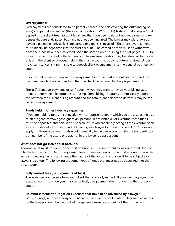#### **Overpayments**

Overpayments are considered to be partially earned (the part covering the outstanding balance) and partially unearned (the overpaid portion). WRPC 1.15(d) states that a lawyer "shall deposit into a client trust account legal fees that have been paid but not yet earned and expenses that are anticipated but have not yet been incurred. The lawyer may withdraw such advance payments only as fees are earned or expenses incurred." Therefore, overpayments must initially be deposited into the trust account. The earned portion must be withdrawn once the funds have been collected. (See the section on disbursing funds at pages 14-16 for more information about collected funds.) The unearned portion may be refunded to the client, or if the client so chooses, held in the trust account to apply to future services. Under no circumstances is it permissible to deposit client overpayments to the general business account.

If you would rather not deposit the overpayment into the trust account, you can send the payment back to the client and ask that the check be reissued for the proper amount.

**Note:** If client overpayments occur frequently, you may want to review your billing statement to determine if its format is confusing. Some billing programs do not clearly differentiate between the current billing amount and the total client balance to date; this may be the cause of overpayment.

### **Funds held in other fiduciary capacities**

If you are holding funds in connection with a representation in which you are also acting as a trustee, agent, escrow agent, guardian, personal representative, or executor, those funds must be deposited and held in a trust account. If you are simply acting as the executor of an estate, trustee of a trust, etc., and not serving as a lawyer for the entity, WRPC 1.15 does not apply. In those situations, funds would generally be held in accounts with the tax identification number of the estate or trust, not in the lawyer's trust account.

#### **What does not go into a trust account?**

Knowing what must not go into the trust account is just as important as knowing what does go into the trust account. Depositing earned fees or personal funds into a trust account is regarded as "commingling," which can change the nature of the account and allow it to be subject to a lawyer's creditors. The following are some types of funds that must not be deposited into the trust account.

# **Fully earned fees (i.e., payments of bills)**

This is money you receive from your client that is already earned. If your client is paying the exact amount shown on your invoice (or less), that payment does not go into the trust account.

#### **Reimbursements for litigation expenses that have been advanced by a lawyer**

WRPC 1.8(e)(1) authorizes lawyers to advance the expenses of litigation. Any such advances by the lawyer should be paid out of the general business account, not the trust account.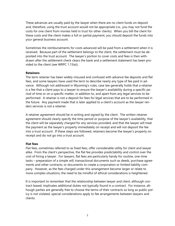These advances are usually paid by the lawyer when there are no client funds on deposit and, therefore, using the trust account would not be appropriate (i.e., you may not fund the costs for one client from monies held in trust for other clients). When you bill the client for these costs and the client makes a full or partial payment, you should deposit the funds into your general business account.

Sometimes the reimbursements for costs advanced will be paid from a settlement when it is received. Because part of the settlement belongs to the client, the settlement must be deposited into the trust account. The lawyer's portion to cover costs and fees is then withdrawn after the settlement check clears the bank and a settlement statement has been provided to the client (see WRPC 1.15(e)).

### **Retainers**

The term retainer has been widely misused and confused with advance fee deposits and flat fees, and some lawyers have used the term to describe nearly any type of fee paid in advance. Although not addressed in Wyoming's rules, case law generally holds that a retainer is a fee that a client pays to a lawyer to ensure the lawyer's availability during a specific period of time or on a specific matter, in addition to, and apart from any legal services to be performed. A retainer is not a deposit for fees for legal services that are to be performed in the future. Any payment made that is later applied to a client's account as the lawyer renders services is not a retainer.

A retainer agreement should be in writing and signed by the client. The written retainer agreement should clearly specify the time period or purpose of the lawyer's availability, that the client will be separately charged for any services provided, and that the lawyer will treat the payment as the lawyer's property immediately on receipt and will not deposit the fee into a trust account. If these steps are followed, retainers become the lawyer's property on receipt and do not go into a trust account.

#### **Flat fees**

Flat fees, sometimes referred to as fixed fees, offer considerable utility for client and lawyer alike. From the client's perspective, the flat fee provides predictability and control over the cost of hiring a lawyer. For lawyers, flat fees are particularly handy for routine, one-time tasks – preparation of a simple will; transactional documents such as deeds, purchase agreements and other contracts; or documents to create a corporation or limited liability company. However, as the fees charged under this arrangement become larger or relate to more complex situations, the need to be mindful of ethical considerations is heightened.

It is important to remember that the relationship between lawyer and client, although contract-based, implicates additional duties not typically found in a contract. For instance, although parties are generally free to choose the terms of their contracts so long as public policy is not violated, special considerations apply to fee arrangements between lawyers and clients: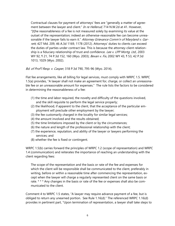Contractual clauses for payment of attorneys' fees are "generally a matter of agree-ment between the lawyer and client." [In re Hellerud](http://www.westlaw.com/Find/Default.wl?rs=dfa1.0&vr=2.0&DB=595&FindType=Y&ReferencePositionType=S&SerialNum=2009139118&ReferencePosition=41), [714 N.W.2d at 41.](http://www.westlaw.com/Find/Default.wl?rs=dfa1.0&vr=2.0&DB=595&FindType=Y&ReferencePositionType=S&SerialNum=2009139118&ReferencePosition=41) However, "[t]he reasonableness of a fee is not measured solely by examining its value at the outset of the representation; indeed an otherwise-reasonable fee can become unrea-sonable if the lawyer fails to earn it." [Attorney Grievance Comm'n of Maryland v. Gar](http://www.westlaw.com/Find/Default.wl?rs=dfa1.0&vr=2.0&DB=7691&FindType=Y&ReferencePositionType=S&SerialNum=2027964174&ReferencePosition=1178)[rett](http://www.westlaw.com/Find/Default.wl?rs=dfa1.0&vr=2.0&DB=7691&FindType=Y&ReferencePositionType=S&SerialNum=2027964174&ReferencePosition=1178), 427 Md. 209, [46 A.3d 1169, 1178 \(2012\).](http://www.westlaw.com/Find/Default.wl?rs=dfa1.0&vr=2.0&DB=7691&FindType=Y&ReferencePositionType=S&SerialNum=2027964174&ReferencePosition=1178) Attorneys' duties to clients can exceed the duties of parties under contract law. This is because the attorney-client relationship is a fiduciary relationship of trust and confidence. Lee v. LPP Morta. Ltd., 2003 [WY 92, ¶ 21, 74 P.3d 152, 160 \(Wyo. 2003\);](http://www.westlaw.com/Find/Default.wl?rs=dfa1.0&vr=2.0&DB=4645&FindType=Y&ReferencePositionType=S&SerialNum=2003553569&ReferencePosition=160) [Bevan v. Fix,](http://www.westlaw.com/Find/Default.wl?rs=dfa1.0&vr=2.0&DB=4645&FindType=Y&ReferencePositionType=S&SerialNum=2002200787&ReferencePosition=1029) [2002 WY 43, ¶ 53, 42 P.3d](http://www.westlaw.com/Find/Default.wl?rs=dfa1.0&vr=2.0&DB=4645&FindType=Y&ReferencePositionType=S&SerialNum=2002200787&ReferencePosition=1029)  [1013, 1029 \(Wyo. 2002\).](http://www.westlaw.com/Find/Default.wl?rs=dfa1.0&vr=2.0&DB=4645&FindType=Y&ReferencePositionType=S&SerialNum=2002200787&ReferencePosition=1029)

Bd. of Prof'l Resp. v. Casper, 318 P.3d 790, 795-96 (Wyo. 2014).

Flat fee arrangements, like all billing for legal services, must comply with WRPC 1.5. WRPC 1.5(a) provides, "A lawyer shall not make an agreement for, charge, or collect an unreasonable fee or an unreasonable amount for expenses." The rule lists the factors to be considered in determining the reasonableness of a fee:

- (1) the time and labor required, the novelty and difficulty of the questions involved, and the skill requisite to perform the legal service properly;
- (2) the likelihood, if apparent to the client, that the acceptance of the particular employment will preclude other employment by the lawyer;
- (3) the fee customarily charged in the locality for similar legal services;
- (4) the amount involved and the results obtained;
- (5) the time limitations imposed by the client or by the circumstances;
- (6) the nature and length of the professional relationship with the client;
- (7) the experience, reputation, and ability of the lawyer or lawyers performing the services; and
- (8) whether the fee is fixed or contingent.

WRPC 1.5(b) carries forward the principles of WRPC 1.2 (scope of representation) and WRPC 1.4 (communication) and reiterates the importance of reaching an understanding with the client regarding fees:

The scope of the representation and the basis or rate of the fee and expenses for which the client will be responsible shall be communicated to the client, preferably in writing, before or within a reasonable time after commencing the representation, except when the lawyer will charge a regularly represented client on the same basis or rate. \* \* \* Any changes in the basis or rate of the fee or expenses shall also be communicated to the client.

Comment 4 to WRPC 1.5 states, "A lawyer may require advance payment of a fee, but is obliged to return any unearned portion. See Rule 1.16(d)." The referenced WRPC 1.16(d) provides in pertinent part, "Upon termination of representation, a lawyer shall take steps to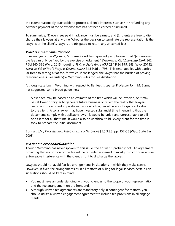the extent reasonably practicable to protect a client's interests, such as \* \* \* refunding any advance payment of fee or expense that has not been earned or incurred."

To summarize, (1) even fees paid in advance must be earned; and (2) clients are free to discharge their lawyers at any time. Whether the decision to terminate the representation is the lawyer's or the client's, lawyers are obligated to return any unearned fees.

# What is a reasonable flat fee?

In recent years, the Wyoming Supreme Court has repeatedly emphasized that "[a] reasonable fee can only be fixed by the exercise of judgment." Dishman v. First Interstate Bank, 362 P.3d 360, 366 (Wyo. 2015) (quoting *Tolin v. State (In re NRF*[, 294 P.3d 879, 883 \(Wyo. 2013\)\)](http://www.westlaw.com/Link/Document/FullText?findType=Y&serNum=2029730058&pubNum=0004645&originatingDoc=I495ab39c9dcf11e5b4bafa136b480ad2&refType=RP&fi=co_pp_sp_4645_882&originationContext=document&vr=3.0&rs=cblt1.0&transitionType=DocumentItem&contextData=(sc.Search)#co_pp_sp_4645_882); see also Bd. of Prof'l Resp. v. Casper, supra, 318 P.3d at 796. This tenet applies with particular force to setting a flat fee, for which, if challenged, the lawyer has the burden of proving reasonableness. See Rule 5(o), Wyoming Rules for Fee Arbitration.

Although case law in Wyoming with respect to flat fees is sparse, Professor John M. Burman has suggested some broad guidelines:

A fixed fee may be based on an estimate of the time which will be involved, or it may be set lower or higher to generate future business or reflect the reality that lawyers become more efficient in producing work which is, nevertheless, of significant value to the client. Also, a lawyer may have invested substantial time in ensuring that the documents comply with applicable laws—it would be unfair and unreasonable to bill one client for all that time; it would also be unethical to bill every client for the time it took to prepare the initial document.

Burman, J.M., PROFESSIONAL RESPONSIBILITY IN WYOMING §5.5.3.3.3, pp. 157-58 (Wyo. State Bar 2008).

# Is a flat fee ever nonrefundable?

Though Wyoming has never spoken to this issue, the answer is probably not. An agreement providing that no portion of the fee will be refunded is viewed in most jurisdictions as an unenforceable interference with the client's right to discharge the lawyer.

Lawyers should not avoid flat fee arrangements in situations in which they make sense. However, in fixed fee arrangements as in all matters of billing for legal services, certain considerations should be kept in mind:

- You must have an understanding with your client as to the scope of your representation and the fee arrangement on the front end.
- Although written fee agreements are mandatory only in contingent fee matters, you should utilize a written engagement agreement to include fee provisions in all engagements.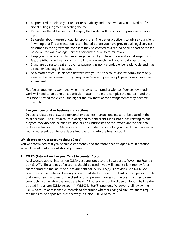- Be prepared to defend your fee for reasonability and to show that you utilized professional billing judgment in setting the fee.
- Remember that if the fee is challenged, the burden will be on you to prove reasonableness.
- Be careful about non-refundability provisions. The better practice is to advise your client in writing that if representation is terminated before you have provided all legal services described in the agreement, the client may be entitled to a refund of all or part of the fee based on the value of legal services performed prior to termination.
- Keep your time, even in flat fee arrangements. If you have to defend a challenge to your fee, the tribunal will naturally want to know how much work you actually performed.
- If you are going to treat an advance payment as non-refundable, be ready to defend it as a retainer (see page 5, supra).
- As a matter of course, deposit flat fees into your trust account and withdraw them only as/after the fee is earned. Stay away from "earned upon receipt" provisions in your fee agreement.

Flat fee arrangements work best when the lawyer can predict with confidence how much work will need to be done on a particular matter. The more complex the matter – and the less sophisticated the client – the higher the risk that flat fee arrangements may become problematic.

# **Lawyers' personal or business transactions**

Deposits related to a lawyer's personal or business transactions must not be placed in the trust account. The trust account is designed to hold client funds, not funds relating to employees, stockholders, outside counsel, friends, businesses of the lawyer, and/or personal real estate transactions. Make sure trust account deposits are for your clients and connected with a representation before depositing the funds into the trust account.

# **Which type of trust account should I use?**

You've determined that you handle client money and therefore need to open a trust account. Which type of trust account should you use?

# **1. IOLTA (Interest on Lawyers' Trust Accounts) Account**

As discussed above, interest on IOLTA accounts goes to the Equal Justice Wyoming Foundation (EJWF). These types of accounts should be used if you will handle client money for a short period of time, or if the funds are nominal. WRPC 1.5(a)(1) provides, "An IOLTA Account is a pooled interest-bearing account that shall include only client or third person funds that cannot earn income for the client or third person in excess of the costs incurred to secure such income while the funds are held. All other client or third person funds shall be deposited into a Non-IOLTA Account." WRPC 1.15(a)(3) provides, "A lawyer shall review the IOLTA Account at reasonable intervals to determine whether changed circumstances require the funds to be deposited prospectively in a Non-IOLTA Account."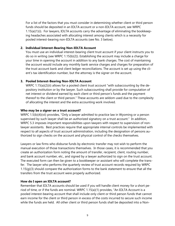For a list of the factors that you must consider in determining whether client or third person funds should be deposited in an IOLTA account or a non-IOLTA account, see WRPC 1.15(a)(1)(i). For lawyers, IOLTA accounts carry the advantage of eliminating the bookkeeping headaches associated with allocating interest among clients which is a necessity for pooled interest-bearing non-IOLTA accounts (see No. 3 below).

### **2. Individual Interest-Bearing Non-IOLTA Account**

You must use an individual interest-bearing client trust account if your client instructs you to do so in writing (see WRPC 1.15(b)(2)). Establishing the account may include a charge for your time in opening the account in addition to any bank charges. The cost of maintaining the account would include any monthly bank service charges and charges for preparation of the trust account bank and client ledger reconciliations. The account is set up using the client's tax identification number, but the attorney is the signer on the account.

### **3. Pooled Interest-Bearing Non-IOLTA Account**

WRPC 1.15(a)(2)(ii) allows for a pooled client trust account "with subaccounting by the depository institution or by the lawyer. Such subaccounting shall provide for computation of net interest or dividend earned by each client or third person's funds and the payment thereof to the client or third person." These accounts are seldom used due to the complexity of allocating the interest and the extra accounting work involved.

### **Who may be a signer on a trust account?**

WRPC 1.5(b)(4)(vii) provides, "Only a lawyer admitted to practice law in Wyoming or a person supervised by such lawyer shall be an authorized signatory on a trust account." In addition, WRPC 5.3 imposes important responsibilities upon lawyers with respect to supervision of nonlawyer assistants. Best practices require that appropriate internal controls be implemented with respect to all aspects of trust account administration, including the designation of persons authorized to sign checks on the account and physical control of the checks themselves.

Lawyers or law firms who disburse funds by electronic transfer may not wish to perform the manual execution of those transactions themselves. In those cases, it is recommended that you create an authorization form noting the amount of transfer, recipient, client, routing number, and bank account number, etc., and signed by a lawyer authorized to sign on the trust account. The executed form can then be given to a bookkeeper or assistant who will complete the transfer. The lawyer who performs the quarterly review of trust account records required by WRPC 1.15(g)(3) should compare the authorization forms to the bank statement to ensure that all the transfers from the trust account were properly authorized.

# **How do I open an IOLTA account?**

Remember that IOLTA accounts should be used if you will handle client money for a short period of time, or if the funds are nominal. WRPC 1.15(a)(1) provides, "An IOLTA Account is a pooled interest-bearing account that shall include only client or third person funds that cannot earn income for the client or third person in excess of the costs incurred to secure such income while the funds are held. All other client or third person funds shall be deposited into a Non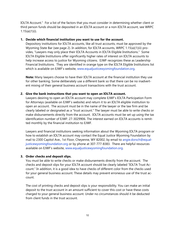IOLTA Account." For a list of the factors that you must consider in determining whether client or third person funds should be deposited in an IOLTA account or a non-IOLTA account, see WRPC  $1.15(a)(1)(i)$ .

### **1. Decide which financial institution you want to use for the account.**

Depository institutions for IOLTA accounts, like all trust accounts, must be approved by the Wyoming State Bar (see page 2). In addition, for IOLTA accounts, WRPC 1.15(a)(1)(ii) provides, "Lawyers may only place their IOLTA Accounts in IOLTA Eligible Institutions." Some IOLTA Eligible Institutions offer significantly higher rates of interest on IOLTA accounts to help increase access to justice for Wyoming citizens. EJWF recognizes these as Leadership Financial Institutions. They are identified in orange type on the IOLTA Eligible Institutions list which is available on EJWF's website, [www.equaljusticewyomingfoundation.org.](http://www.equaljusticewyomingfoundation.org/)

**Note:** Many lawyers choose to have their IOLTA account at the financial institution they use for other banking. Some deliberately use a different bank so that there can be no inadvertent mixing of their general business account transactions with the trust account.

### **2. Give the bank instructions that you want to open an IOLTA account.**

Lawyers desiring to open an IOLTA account may complete EJWF's IOLTA Participation Form for Attorneys (available on EJWF's website) and return it to an IOLTA eligible institution to open an account. The account must be in the name of the lawyer or the law firm and be clearly labeled or designated as a "trust account." The lawyer must be able to write checks or make disbursements directly from the account. IOLTA accounts must be set up using the tax identification number of EJWF: 27-3029906. The interest earned on IOLTA accounts is remitted monthly by the financial institution to EJWF.

Lawyers and financial institutions seeking information about the Wyoming IOLTA program or how to establish an IOLTA account may contact the Equal Justice Wyoming Foundation by mail to 2300 Capitol Ave., 1st Floor, Cheyenne, WY 82002, by email to [angie.dorsch@equal](mailto:angie.dorsch@equal-justicewyomingfoundation)[justicewyomingfoundation.](mailto:angie.dorsch@equal-justicewyomingfoundation)org or by phone at 307-777-8383. There are helpful resources available on EJWF's website, [www.equaljusticewyomingfoundation.org.](http://www.equaljusticewyomingfoundation.org/)

# **3. Order checks and deposit slips.**

You must be able to write checks or make disbursements directly from the account. The checks and deposit slips for your IOLTA account should be clearly labeled "IOLTA Trust Account." In addition, it is a good idea to have checks of different color from the checks used for your general business account. These details may prevent erroneous use of the trust account.

The cost of printing checks and deposit slips is your responsibility. You can make an initial deposit to the trust account in an amount sufficient to cover this cost or have these costs charged to your general business account. Under no circumstances should it be deducted from client funds in the trust account.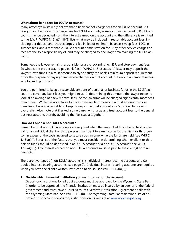#### **What about bank fees for IOLTA accounts?**

Many attorneys mistakenly believe that a bank cannot charge fees for an IOLTA account. Although most banks do not charge fees for IOLTA accounts, some do. Fees incurred in IOLTA accounts may be deducted from the interest earned on the account and the difference is remitted to the EJWF. WRPC 1.15(a)(1)(iii)(B) lists what may be included in reasonable account fees, including per deposit and check charges, a fee in lieu of minimum balance, sweep fees, FDIC insurance fees, and a reasonable IOLTA account administration fee. Any other service charges or fees are the sole responsibility of, and may be charged to, the lawyer maintaining the IOLTA account.

Some fees the lawyer remains responsible for are check printing, NSF, and stop payment fees. So what is the proper way to pay bank fees? WRPC 1.15(c) states, "A lawyer may deposit the lawyer's own funds in a trust account solely to satisfy the bank's minimum deposit requirement or for the purpose of paying bank service charges on that account, but only in an amount necessary for such purposes."

You are permitted to keep a reasonable amount of personal or business funds in the IOLTA account to cover any bank fees you might incur. In determining this amount, the lawyer needs to look at an average of a few months' fees. Some law firms will be charged significantly more fees than others. While it is acceptable to have some law firm money in a trust account to cover bank fees, it is not acceptable to keep money in the trust account as a "cushion" to prevent overdrafts. Also, note that if asked, some banks will charge any trust account fees to the general business account, thereby avoiding the fee issue altogether.

# **How do I open a non-IOLTA account?**

Remember that non-IOLTA accounts are required when the amount of funds being held on behalf of an individual client or third person is sufficient to earn income for the client or third person in excess of the costs incurred to secure such income while the funds are held (see WRPC 1.15(a)(1)). For a list of the factors that you must consider in determining whether client or third person funds should be deposited in an IOLTA account or a non-IOLTA account, see WRPC 1.15(a)(1)(i). Any interest earned on non-IOLTA accounts must be paid to the client(s) or third person(s).

There are two types of non-IOLTA accounts: (1) individual interest-bearing accounts and (2) pooled interest-bearing accounts (see page 9). Individual interest-bearing accounts are required when you have the client's written instruction to do so (see WRPC 1.15(b)(2)).

#### **1. Decide which financial institution you want to use for the account.**

Depository institutions for all trust accounts must be approved by the Wyoming State Bar. In order to be approved, the financial institution must be insured by an agency of the federal government and must have a Trust Account Overdraft Notification Agreement on file with the Wyoming State Bar. See WRPC 1.15(b). The Wyoming State Bar maintains a list of approved trust account depository institutions on its website at [www.wyomingbar.org.](http://www.wyomingbar.org/)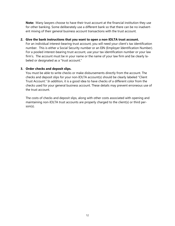**Note:** Many lawyers choose to have their trust account at the financial institution they use for other banking. Some deliberately use a different bank so that there can be no inadvertent mixing of their general business account transactions with the trust account.

#### **2. Give the bank instructions that you want to open a non-IOLTA trust account.**

For an individual interest-bearing trust account, you will need your client's tax identification number. This is either a Social Security number or an EIN (Employer Identification Number). For a pooled interest-bearing trust account, use your tax identification number or your law firm's. The account must be in your name or the name of your law firm and be clearly labeled or designated as a "trust account."

# **3. Order checks and deposit slips.**

You must be able to write checks or make disbursements directly from the account. The checks and deposit slips for your non-IOLTA account(s) should be clearly labeled "Client Trust Account." In addition, it is a good idea to have checks of a different color from the checks used for your general business account. These details may prevent erroneous use of the trust account.

The costs of checks and deposit slips, along with other costs associated with opening and maintaining non-IOLTA trust accounts are properly charged to the client(s) or third person(s).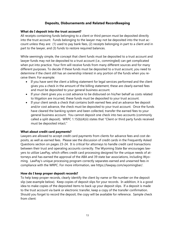# **Deposits, Disbursements and Related Recordkeeping**

### **What do I deposit into the trust account?**

All receipts containing funds belonging to a client or third person must be deposited directly into the trust account. Funds belonging to the lawyer may not be deposited into the trust account unless they are: (1) used to pay bank fees, (2) receipts belonging in part to a client and in part to the lawyer, and (3) funds to restore required balances.

While seemingly simple, the concept that client funds must be deposited to a trust account and lawyer funds may not be deposited to a trust account (i.e., commingled) can get complicated when put into practice. Your firm will receive funds from many different sources and for many different purposes. To decide if these funds must be deposited to a trust account, you need to determine if the client still has an ownership interest in any portion of the funds when you receive them. For example:

- If you have sent the client a billing statement for legal services performed and the client gives you a check in the amount of the billing statement, these are clearly earned fees and must be deposited to your general business account.
- If your client gives you a cost advance to be disbursed on his/her behalf as costs related to litigation are incurred, these funds must be deposited to your trust account.
- If your client sends a check that contains both earned fees and an advance fee deposit and/or cost advance, the check must be deposited to your trust account. Once the funds have cleared the banking system and been collected, transfer the earned fees to your general business account. You cannot deposit one check into two accounts (commonly called a split deposit). WRPC 1.15(b)(4)(ii) states that "Client or third party funds received must be deposited intact."

#### **What about credit card payments?**

Lawyers are allowed to accept credit card payments from clients for advance fees and cost deposits, as well as earned fees. Please see the discussion of credit cards in the Frequently Asked Questions section on pages 23-24. It is critical for attorneys to handle credit card transactions between their trust and operating accounts correctly. The Wyoming State Bar encourages lawyers to utilize LawPay, which offers credit card processing designed for the unique needs of attorneys and has earned the approval of the ABA and 39 state bar associations, including Wyoming. LawPay's unique processing program correctly separates earned and unearned fees in compliance with the WRPC. For more information, see [https://lawpay.com/wyomingbar/.](https://lawpay.com/wyomingbar/)

# **How do I keep proper deposit records?**

To help keep proper records, clearly identify the client by name or file number on the deposit slip (see example below). Keep copies of deposit slips for your records. In addition, it is a good idea to make copies of the deposited items to back up your deposit slips. If a deposit is made to the trust account via bank or electronic transfer, keep a copy of the transfer confirmation. Should you forget to record the deposit, the copy will be available for reference. Sample check from client: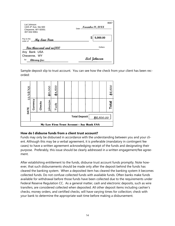| Lisl Johnson<br>1325 4th Ave, Ste 600<br>Cheyenne, WY 82001<br>307-632-9061 | 8687<br>November 18, 20XX<br>Date - |  |  |
|-----------------------------------------------------------------------------|-------------------------------------|--|--|
| Pay to the<br><u>My Law Firm</u><br>order of                                | 5,000.00                            |  |  |
| <u>Five thousand and no/100</u>                                             | Dollars                             |  |  |
| Any Bank USA                                                                |                                     |  |  |
| Chevenne. WY<br>for                                                         | Lisl Johnson                        |  |  |
| <i><b>attorney fees</b></i>                                                 |                                     |  |  |

Sample deposit slip to trust account. You can see how the check from your client has been recorded:



# **How do I disburse funds from a client trust account?**

Funds may only be disbursed in accordance with the understanding between you and your client. Although this may be a verbal agreement, it is preferable (mandatory in contingent fee cases) to have a written agreement acknowledging receipt of the funds and designating their purpose. Preferably, this issue should be clearly addressed in a written engagement/fee agreement.

After establishing entitlement to the funds, disburse trust account funds promptly. Note however, that such disbursements should be made only after the deposit behind the funds has cleared the banking system. When a deposited item has cleared the banking system it becomes collected funds. Do not confuse collected funds with available funds. Often banks make funds available for withdrawal before those funds have been collected due to the requirements under Federal Reserve Regulation CC. As a general matter, cash and electronic deposits, such as wire transfers, are considered collected when deposited. All other deposit items including cashier's checks, money orders, and certified checks, will have varying times for collection; check with your bank to determine the appropriate wait time before making a disbursement.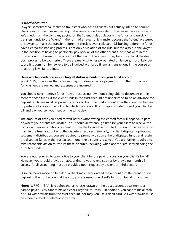# A word of caution

Lawyers sometimes fall victim to fraudsters who pose as clients but actually intend to commit check fraud, sometimes requesting that a lawyer collect on a debt. The lawyer receives a cashier's check from the company paying on the "client's" debt, deposits the funds, and quickly transfers funds to the "client" in the form of an electronic transfer because the "client" pressures the lawyer to make the transfer before the check is even collected. Disbursing before the funds have cleared the banking process is not only a violation of the rule, but can also put the lawyer in the position of having to personally pay back all of the other client funds that were in the trust account but were lost as a result of the scam. The amount may be substantial if the deposit proves to be counterfeit. There are many schemes perpetrated on lawyers, most likely because it is common for lawyers to be involved with large financial transactions in the course of practicing law. Be cautious.

# **Have written evidence supporting all disbursements from your trust account**

WRPC 1.15(d) provides that a lawyer may withdraw advance payments from the trust account "only as fees are earned and expenses are incurred."

You should never remove funds from a trust account without being able to document entitlement to those funds. If the client funds in the trust account are understood to be an advance fee deposit, such fees must be promptly removed from the trust account after the client has had an opportunity to review the billing to which they relate. It is not appropriate to send your client a bill and pay yourself your fees on the same day.

The amount of time you need to wait before withdrawing the earned fees will depend, in part, on where your clients are located. You should allow enough time for your client to receive the invoice and review it. Should a client dispute the billing, the disputed portion of the fee must remain in the trust account until the dispute is resolved. Similarly, if a client disputes a proposed settlement distribution, you are required to promptly disburse the undisputed funds and retain the disputed funds in the trust account until the dispute is resolved. You are further required to take reasonable action to resolve these disputes, including, when appropriate, interpleading the disputed funds.

You are not required to give notice to your client before paying a cost on your client's behalf. However, you should provide an accounting to your client, such as by providing monthly invoices. A full accounting must be provided upon request by a client or third person.

Disbursements made on behalf of a client may never exceed the amount that the client has on deposit in the trust account; if they do, you are using one client's funds on behalf of another.

**Note:** WRPC 1.15(b)(4) requires that all checks drawn on the trust account be written to a named payee. You cannot make a check payable to "cash." In addition, you cannot make cash or ATM withdrawals from the trust account, nor may you use a debit card. All withdrawals must be made by check or electronic transfer.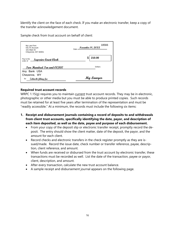Identify the client on the face of each check. If you make an electronic transfer, keep a copy of the transfer acknowledgement document.

Sample check from trust account on behalf of client:

| My Law Firm<br><b>IOLTA Account</b><br>101 Main St<br>Cheyenne, WY 82001 | 18566<br>November $18,20 \mathfrak{X} \mathfrak{X}$<br>Date - |         |
|--------------------------------------------------------------------------|---------------------------------------------------------------|---------|
| Pay to the<br>Superior Court Clerk<br>order of                           |                                                               | 210.00  |
| Two Hundred Ten and 00/100                                               |                                                               | Dollars |
| Bank USA<br>Anv                                                          |                                                               |         |
| Chevenne. WY<br>for<br>Zelinski filing fee                               | My Lawyer                                                     |         |

### **Required trust account records**

WRPC 1.15(g) requires you to maintain current trust account records. They may be in electronic, photographic or other media but you must be able to produce printed copies. Such records must be retained for at least five years after termination of the representation and must be "readily accessible." At a minimum, the records must include the following six items:

- **1. Receipt and disbursement journals containing a record of deposits to and withdrawals from client trust accounts, specifically identifying the date, payor, and description of each item deposited, as well as the date, payee and purpose of each disbursement.**
	- From your copy of the deposit slip or electronic transfer receipt, promptly record the deposit. The entry should show the client matter, date of the deposit, the payor, and the amount for each client.
	- Record checks and electronic transfers in the check register promptly as they are issued/made. Record the issue date, check number or transfer reference, payee, description, client reference, and amount.
	- When funds are received or disbursed from the trust account by electronic transfer, these transactions must be recorded as well. List the date of the transaction, payee or payor, client, description, and amount.
	- After every transaction, calculate the new trust account balance.
	- A sample receipt and disbursement journal appears on the following page.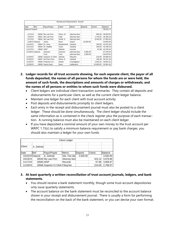| Receipt and Disbursement Journal |                 |                   |             |               |           |           |           |
|----------------------------------|-----------------|-------------------|-------------|---------------|-----------|-----------|-----------|
| Date                             | Ref             | Payor/Payee       | Client      | Memo          | Deposit   | Check     | Balance   |
| Balance forward                  |                 |                   |             |               |           |           | 38.916.71 |
| 11/1/XX                          | 18560           | My Law Firm       | Olson, M    | attorney fees |           | 866.66    | 38,050.05 |
| 11/5/XX                          | 18561           | My Law Firm       | Felty       | attorney fees |           | 1.745.62  | 36.304.43 |
| 11/7/XX                          | 18562           | My Law Firm       | Smith, D    | attorney fees |           | 8.450.50  | 27,853.93 |
|                                  | 11/8/XX Deposit | Jones             | Kane        | award         | 15.000.00 |           | 42,853.93 |
| 11/10/XX                         | 18563           | Dr. Grey          | Weatherholt | medical       |           | 238.00    | 42,615.93 |
| 11/11/XX                         | 18564           | Dr. Radtke        | Tyner       | medical       |           | 169.50    | 42,446.43 |
| 11/17/XX                         | 18565           | <b>WSP</b>        | Zelinski    | records       |           | 67.89     | 42,378.54 |
| 11/18/XX                         | Deposit         | Johnson           | Johnson     | attorney fees | 5.000.00  |           | 47.378.54 |
|                                  |                 | Tuck              | Tuck        | attorney fees | 3.500.00  |           | 50.878.54 |
| 11/18/XX                         | 18566           | Superior Ct Clerk | Zelinski    | filing fee    |           | 210.00    | 50,668.54 |
| 11/24/XX                         | 18567           | No-Pain Chiro     | Olson, E    | medical       |           | 156.38    | 50,512.16 |
| 11/25/XX                         | 18568           | Pinkerton Inv.    | Dexter      | investigation |           | 2,450.25  | 48,061.91 |
| 11/30/XX                         | 18569           | Karen Kane        | Kane        | settlement    |           | 15,000.00 | 33,061.91 |

- **2. Ledger records for all trust accounts showing, for each separate client, the payor of all funds deposited, the names of all persons for whom the funds are or were held, the amount of such funds, the descriptions and amounts of charges or withdrawals, and the names of all persons or entities to whom such funds were disbursed.**
	- Client ledgers are individual client transaction summaries. They contain all deposits and disbursements for a particular client, as well as the current client ledger balance.
	- Maintain one ledger for each client with trust account activity.
	- Post deposits and disbursements promptly to client ledgers.
	- Each entry in the receipt and disbursement journal must also be posted to a client ledger. These should be done simultaneously. The client ledger should include the same information as is contained in the check register plus the purpose of each transaction. A running balance must also be maintained on each client ledger.
	- If you have deposited a nominal amount of your own money to the trust account per WRPC 1.15(c) to satisfy a minimum balance requirement or pay bank charges, you should also maintain a ledger for your own funds.

| <b>Client Ledger</b> |                 |                                    |               |          |        |          |
|----------------------|-----------------|------------------------------------|---------------|----------|--------|----------|
|                      |                 |                                    |               |          |        |          |
| Client:              | A. Zelinski     |                                    |               |          |        |          |
|                      |                 |                                    |               |          |        |          |
| Date                 | Ref             | Payor/Payee                        | Memo          | Deposit  | Check  | Balance  |
|                      | 10/15/XXDeposit | A. Zelinski                        | Adv. Fee dep  | 3,500.00 |        | 3,500.00 |
| 10/23/XX             |                 | 18545 My Law Firm                  | Attorney fees |          | 423.14 | 3,076.86 |
| 11/17/XX             | 18565 WSP       |                                    | Records       |          | 67.89  | 3,008.97 |
| $11/18$ /XX          |                 | 18566 Superior Ct Clerk Filing fee |               |          | 210.00 | 2.798.97 |

# **3. At least quarterly a written reconciliation of trust account journals, ledgers, and bank statements.**

- You should receive a bank statement monthly, though some trust account depositories only issue quarterly statements.
- The account balance on the bank statement must be reconciled to the account balance shown in your receipt and disbursement journal. There is usually a form for performing the reconciliation on the back of the bank statement, or you can devise your own format.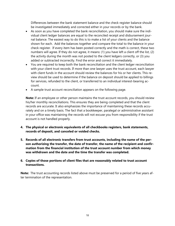Differences between the bank statement balance and the check register balance should be investigated immediately and corrected either in your records or by the bank.

- As soon as you have completed the bank reconciliation, you should make sure the individual client ledger balances are equal to the reconciled receipt and disbursement journal balance. The easiest way to do this is to make a list of your clients and the balance shown for each. Add the balances together and compare the total to the balance in your check register. If every item has been posted correctly and the math is correct, these two numbers will agree. If they do not agree, it means: (1) you have left a client off the list, (2) the activity during the month was not posted to the client ledgers correctly, or (3) you added or subtracted incorrectly. Find the error and correct it immediately.
- You are required to keep both the bank reconciliation and the client ledger reconciliation with your client trust records. If more than one lawyer uses the trust account, each lawyer with client funds in the account should review the balances for his or her clients. This review should be used to determine if the balance on deposit should be applied to billings for services, refunded to the client, or transferred to an individual interest-bearing account.
- A sample trust account reconciliation appears on the following page.

**Note:** If an employee or other person maintains the trust account records, you should review his/her monthly reconciliations. This ensures they are being completed and that the client records are accurate. It also emphasizes the importance of maintaining these records accurately and on a timely basis. The fact that a bookkeeper, paralegal or administrative assistant in your office was maintaining the records will not excuse you from responsibility if the trust account is not handled properly.

- **4. The physical or electronic equivalents of all checkbooks registers, bank statements, records of deposit, and canceled or voided checks.**
- **5. Records of all electronic transfers from trust accounts, including the name of the person authorizing the transfer, the date of transfer, the name of the recipient and confirmation from the financial institution of the trust account number from which money was withdrawn and the date and the time the transfer was completed.**

# **6. Copies of those portions of client files that are reasonably related to trust account transactions.**

**Note:** The trust accounting records listed above must be preserved for a period of five years after termination of the representation.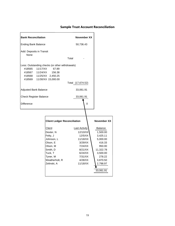# **Sample Trust Account Reconciliation**

| <b>Bank Reconciliation</b>                                                                                                        |                                                                                                                                           | November XX                                                                                                                          |                                                                                                                                                |
|-----------------------------------------------------------------------------------------------------------------------------------|-------------------------------------------------------------------------------------------------------------------------------------------|--------------------------------------------------------------------------------------------------------------------------------------|------------------------------------------------------------------------------------------------------------------------------------------------|
| <b>Ending Bank Balance</b>                                                                                                        |                                                                                                                                           | 50,736.43                                                                                                                            |                                                                                                                                                |
| Add: Deposits in Transit<br>None                                                                                                  |                                                                                                                                           | Total                                                                                                                                |                                                                                                                                                |
| Less: Outstanding checks (or other withdrawals)<br>11/17/XX<br>#18565<br>#18567<br>11/24/XX<br>#18568 11/25/XX 2,450.25<br>#18569 | 67.89<br>156.38<br>11/30/XX 15,000.00                                                                                                     |                                                                                                                                      |                                                                                                                                                |
|                                                                                                                                   |                                                                                                                                           | Total (17,674.52)                                                                                                                    |                                                                                                                                                |
| Adjusted Bank Balance                                                                                                             |                                                                                                                                           | 33,061.91                                                                                                                            |                                                                                                                                                |
| <b>Check Register Balance</b>                                                                                                     |                                                                                                                                           | 33,061.91                                                                                                                            |                                                                                                                                                |
| Difference                                                                                                                        |                                                                                                                                           | $\Omega$                                                                                                                             |                                                                                                                                                |
|                                                                                                                                   |                                                                                                                                           |                                                                                                                                      |                                                                                                                                                |
|                                                                                                                                   | <b>Client Ledger Reconciliation</b>                                                                                                       |                                                                                                                                      | November XX                                                                                                                                    |
|                                                                                                                                   | Client<br>Dexter, N<br>Felty, J<br>Johnson, L<br>Olson, E<br>Olson, M<br>Smith, D<br>Tuck, T<br>Tyner, M<br>Weatherholt, R<br>Zelinski, A | Last Activity<br>12/10/XX<br>12/5/XX<br>11/18/XX<br>3/29/XX<br>7/24/XX<br>8/21/XX<br>6/24/XX<br>7/31/XX<br>$4/28$ /XX<br>$11/18$ /XX | <b>Balance</b><br>1,500.00<br>3,425.11<br>5,000.00<br>416.33<br>950.00<br>11,322.78<br>3,500.00<br>278.22<br>3,870.50<br>2,798.97<br>33,061.91 |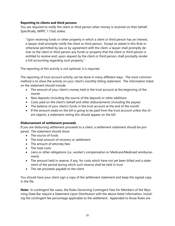# **Reporting to clients and third persons**

You are required to notify the client or third person when money is received on their behalf. Specifically, WRPC 1.15(e) states:

"Upon receiving funds or other property in which a client or third person has an interest, a lawyer shall promptly notify the client or third person. Except as stated in this Rule or otherwise permitted by law or by agreement with the client, a lawyer shall promptly deliver to the client or third person any funds or property that the client or third person is entitled to receive and, upon request by the client or third person, shall promptly render a full accounting regarding such property."

The reporting of this activity is not optional; it is required.

The reporting of trust account activity can be done in many different ways. The most common method is to show the activity on your client's monthly billing statement. The information listed on the statement should include:

- The amount of your client's money held in the trust account at the beginning of the month
- New deposits (including the source of the deposit) or other additions
- Costs paid on the client's behalf and other disbursements (including the payee)
- The balance of your client's funds in the trust account at the end of the month
- If the amount owed on the bill is going to be paid from the trust account unless the client objects, a statement noting this should appear on the bill.

# **Disbursement of settlement proceeds**

If you are disbursing settlement proceeds to a client, a settlement statement should be prepared. The statement should show:

- The source of funds
- The total amount of recovery or settlement
- The amount of attorney fees
- The total costs
- Liens or other obligations (i.e., worker's compensation or Medicare/Medicaid reimbursement)
- The amount held in reserve, if any, for costs which have not yet been billed and a statement of the period during which such reserve shall be held in trust
- The net proceeds payable to the client

You should have your client sign a copy of the settlement statement and keep the signed copy in the file.

**Note:** In contingent fee cases, the Rules Governing Contingent Fees for Members of the Wyoming State Bar require a Statement Upon Distribution with the above listed information, including the contingent fee percentage applicable to the settlement. Appended to those Rules are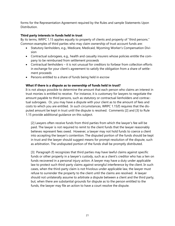forms for the Representation Agreement required by the Rules and sample Statements Upon Distribution.

### **Third party interests in funds held in trust**

By its terms, WRPC 1.15 applies equally to property of clients and property of "third persons." Common examples of third parties who may claim ownership of trust account funds are:

- Statutory lienholders, e.g., Medicare, Medicaid, Wyoming Worker's Compensation Division
- Contractual subrogees, e.g., health and casualty insurers whose policies entitle the company to be reimbursed from settlement proceeds
- Contractual lienholders it is not unusual for creditors to forbear from collection efforts in exchange for your client's agreement to satisfy the obligation from a share of settlement proceeds
- Persons entitled to a share of funds being held in escrow

#### **What if there is a dispute as to ownership of funds held in trust?**

It is not always possible to determine the amount that each person who claims an interest in trust monies is entitled to receive. For instance, it is customary for lawyers to negotiate the amount payable to third persons, such as statutory or contractual lienholders and contractual subrogees. Or, you may have a dispute with your client as to the amount of fees and costs to which you are entitled. In such circumstances, WRPC 1.15(f) requires that the disputed amount be kept in trust until the dispute is resolved. Comments [2] and [3] to Rule 1.15 provide additional guidance on this subject.

[2] Lawyers often receive funds from third parties from which the lawyer's fee will be paid. The lawyer is not required to remit to the client funds that the lawyer reasonably believes represent fees owed. However, a lawyer may not hold funds to coerce a client into accepting the lawyer's contention. The disputed portion of the funds should be kept in trust and the lawyer should suggest means for prompt resolution of the dispute, such as arbitration. The undisputed portion of the funds shall be promptly distributed.

[3] Paragraph (f) recognizes that third parties may have lawful claims against specific funds or other property in a lawyer's custody, such as a client's creditor who has a lien on funds recovered in a personal injury action. A lawyer may have a duty under applicable law to protect such third-party claims against wrongful interference by the client. In such cases, when the third-party claim is not frivolous under applicable law, the lawyer must refuse to surrender the property to the client until the claims are resolved. A lawyer should not unilaterally assume to arbitrate a dispute between a client and the third party, but, when there are substantial grounds for dispute as to the person entitled to the funds, the lawyer may file an action to have a court resolve the dispute.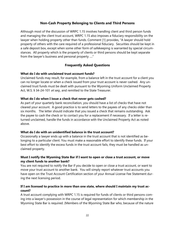# **Non-Cash Property Belonging to Clients and Third Persons**

Although most of the discussion of WRPC 1.15 involves handling client and third person funds and managing the client trust account, WRPC 1.15 also imposes a fiduciary responsibility on the lawyer when holding property other than funds. Comment [1] provides, "A lawyer should hold property of others with the care required of a professional fiduciary. Securities should be kept in a safe deposit box, except when some other form of safekeeping is warranted by special circumstances. All property which is the property of clients or third persons should be kept separate from the lawyer's business and personal property …."

# **Frequently Asked Questions**

### **What do I do with unclaimed trust account funds?**

Unclaimed funds may result, for example, from a balance left in the trust account for a client you can no longer locate or when a check issued from your trust account is never cashed. Any unclaimed trust funds must be dealt with pursuant to the Wyoming Uniform Unclaimed Property Act, W.S. § 34-24-101 et seq., and remitted to the State Treasurer.

### **What do I do when I issue a check that never gets cashed?**

As part of your quarterly bank reconciliation, you should have a list of checks that have not cleared your account. A good practice is to send letters to the payees of any checks older than six months. The letter should indicate that you issued a check that remains outstanding. Ask the payee to cash the check or to contact you for a replacement if necessary. If a letter is returned unclaimed, handle the funds in accordance with the Unclaimed Property Act as noted above.

#### **What do I do with an unidentified balance in the trust account?**

Occasionally a lawyer ends up with a balance in the trust account that is not identified as belonging to a particular client. You must make a reasonable effort to identify these funds. If your best effort to identify the excess funds in the trust account fails, they must be handled as unclaimed property.

### **Must I notify the Wyoming State Bar if I want to open or close a trust account, or move my client funds to another bank?**

You are not required to notify the Bar if you decide to open or close a trust account, or want to move your trust account to another bank. You will simply report whatever trust accounts you have open on the Trust Account Certification section of your Annual License Fee Statement during the next licensing period.

# **If I am licensed to practice in more than one state, where should I maintain my trust account?**

A trust account complying with WRPC 1.15 is required for funds of clients or third persons coming into a lawyer's possession in the course of legal representation for which membership in the Wyoming State Bar is required. (Members of the Wyoming State Bar who, because of the nature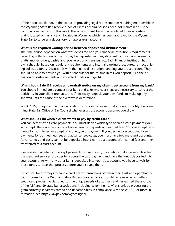of their practice, do not, in the course of providing legal representation requiring membership in the Wyoming State Bar, receive funds of clients or third persons need not maintain a trust account in compliance with this rule.) The account must be with a regulated financial institution that is located or has a branch located in Wyoming which has been approved by the Wyoming State Bar to serve as a depository for lawyer trust accounts.

#### **What is the required waiting period between deposit and disbursement?**

The time period depends on what was deposited and your financial institution's requirements regarding collected funds. Funds may be deposited in many different forms: checks, warrants, drafts, money orders, cashier's checks, electronic transfers, etc. Each financial institution has its own schedule, based on regulatory requirements and internal banking procedures, for recognizing collected funds. Discuss this with the financial institution handling your trust account. They should be able to provide you with a schedule for the routine items you deposit. See the discussion on disbursements and collected funds on page 14.

### **What should I do if I receive an overdraft notice on my client trust account from my bank?**

You should immediately contact your bank and take whatever steps are necessary to correct the deficiency in your client trust account. If necessary, deposit your own funds to make up any shortfall until the cause of the overdraft is determined.

WRPC 1.15(b) requires the financial institution holding a lawyer trust account to notify the Wyoming State Bar Office of Bar Counsel whenever a trust account becomes overdrawn.

# **What should I do when a client wants to pay by credit card?**

You can accept credit card payments. You must decide which type of credit card payments you will accept. There are two kinds: advance fee/cost deposits and earned fees. You can accept payments for both types, or accept only one type of payment. If you decide to accept credit card payments for both earned fees and advance fees/costs, you must have two merchant accounts. Advance fees and costs cannot be deposited into a non-trust account with earned fees and then transferred to a trust account.

Please note that when you accept payments by credit card, it sometimes takes several days for the merchant services provider to process the card payment and have the funds deposited into your account. As with any other items deposited into your trust account, you have to wait for those funds to clear that process before you disburse them.

It is critical for attorneys to handle credit card transactions between their trust and operating accounts correctly. The Wyoming State Bar encourages lawyers to utilize LawPay, which offers credit card processing designed for the unique needs of attorneys and has earned the approval of the ABA and 39 state bar associations, including Wyoming. LawPay's unique processing program correctly separates earned and unearned fees in compliance with the WRPC. For more information, see [https://lawpay.com/wyomingbar/.](https://lawpay.com/wyomingbar/)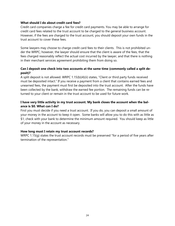### **What should I do about credit card fees?**

Credit card companies charge a fee for credit card payments. You may be able to arrange for credit card fees related to the trust account to be charged to the general business account. However, if the fees are charged to the trust account, you should deposit your own funds in the trust account to cover these fees.

Some lawyers may choose to charge credit card fees to their clients. This is not prohibited under the WRPC; however, the lawyer should ensure that the client is aware of the fees, that the fees charged reasonably reflect the actual cost incurred by the lawyer, and that there is nothing in their merchant services agreement prohibiting them from doing so.

# **Can I deposit one check into two accounts at the same time (commonly called a split deposit)?**

A split deposit is not allowed. WRPC 1.15(b)(4)(ii) states, "Client or third party funds received must be deposited intact." If you receive a payment from a client that contains earned fees and unearned fees, the payment must first be deposited into the trust account. After the funds have been collected by the bank, withdraw the earned fee portion. The remaining funds can be returned to your client or remain in the trust account to be used for future work.

# **I have very little activity in my trust account. My bank closes the account when the balance is \$0. What can I do?**

First you must decide if you need a trust account. If you do, you can deposit a small amount of your money in the account to keep it open. Some banks will allow you to do this with as little as \$1; check with your bank to determine the minimum amount required. You should keep as little of your money in the account as necessary.

# **How long must I retain my trust account records?**

WRPC 1.15(g) states the trust account records must be preserved "for a period of five years after termination of the representation."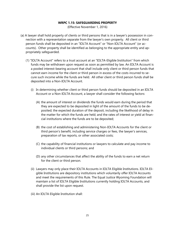#### **WRPC 1.15: SAFEGUARDING PROPERTY**

(Effective November 1, 2016)

- (a) A lawyer shall hold property of clients or third persons that is in a lawyer's possession in connection with a representation separate from the lawyer's own property. All client or third person funds shall be deposited in an "IOLTA Account" or "Non-IOLTA Account" (or accounts). Other property shall be identified as belonging to the appropriate entity and appropriately safeguarded.
	- (1) "IOLTA Account" refers to a trust account at an "IOLTA-Eligible Institution" from which funds may be withdrawn upon request as soon as permitted by law. An IOLTA Account is a pooled interest-bearing account that shall include only client or third person funds that cannot earn income for the client or third person in excess of the costs incurred to secure such income while the funds are held. All other client or third person funds shall be deposited into a Non-IOLTA Account.
		- (i) In determining whether client or third person funds should be deposited in an IOLTA Account or a Non-IOLTA Account, a lawyer shall consider the following factors:
			- (A) the amount of interest or dividends the funds would earn during the period that they are expected to be deposited in light of the amount of the funds to be deposited; the expected duration of the deposit, including the likelihood of delay in the matter for which the funds are held; and the rates of interest or yield at financial institutions where the funds are to be deposited;
			- (B) the cost of establishing and administering Non-IOLTA Accounts for the client or third person's benefit, including service charges or fees, the lawyer's services, preparation of tax reports, or other associated costs;
			- (C) the capability of financial institutions or lawyers to calculate and pay income to individual clients or third persons; and
			- (D) any other circumstances that affect the ability of the funds to earn a net return for the client or third person.
		- (ii) Lawyers may only place their IOLTA Accounts in IOLTA Eligible Institutions. IOLTA Eligible Institutions are depository institutions which voluntarily offer IOLTA Accounts and meet the requirements of this Rule. The Equal Justice Wyoming Foundation will maintain a list of IOLTA Eligible Institutions currently holding IOLTA Accounts, and shall provide the list upon request.
		- (iii) An IOLTA Eligible Institution shall: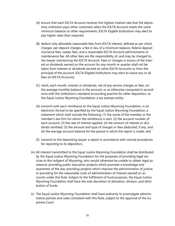- (A) ensure that each IOLTA Account receives the highest interest rate that the depository institution pays other customers when the IOLTA Account meets the same minimum balance or other requirements. IOLTA Eligible Institutions may elect to pay higher rates than required;
- (B) deduct only allowable reasonable fees from IOLTA interest, defined as per check charges, per deposit charges, a fee in lieu of a minimum balance, federal deposit insurance fees, sweep fees, and a reasonable IOLTA Account administrative or maintenance fee. All other fees are the responsibility of, and may be charged to, the lawyer maintaining the IOLTA Account. Fees or charges in excess of the interest or dividends earned on the account for any month or quarter shall not be taken from interest or dividends earned on other IOLTA Accounts or from the principal of the account. IOLTA Eligible Institutions may elect to waive any or all fees on IOLTA Accounts;
- (C) remit, each month, interest or dividends, net of any service charges or fees, on the average monthly balance in the account, or as otherwise computed in accordance with the institution's standard accounting practice for other depositors, to the Equal Justice Wyoming Foundation, a tax exempt entity;
- (D) transmit with each remittance to the Equal Justice Wyoming Foundation, in an electronic format to be specified by the Equal Justice Wyoming Foundation, a statement which shall include the following: (1) the name of the member or the member's law firm for whom the remittance is sent, (2) the account number of each account, (3) the rate of interest applied, (4) the amount of interest or dividends remitted, (5) the amount and type of charges or fees deducted, if any, and (6) the average account balance for the period in which the report is made; and
- (E) transmit to the depositing lawyer a report in accordance with normal procedures for reporting to its depositors.
- (iv) All interest transmitted to the Equal Justice Wyoming Foundation shall be distributed by the Equal Justice Wyoming Foundation for the purposes of providing legal services to the indigent of Wyoming, who would otherwise be unable to obtain legal assistance; providing public education projects which promote a knowledge and awareness of the law; providing projects which improve the administration of justice; or providing for the reasonable costs of administration of interest earned on accounts under this Rule. Subject to the fulfillment of fund purposes, the Equal Justice Wyoming Foundation shall have the sole discretion of allocation, division, and distribution of funds.
- (v) The Equal Justice Wyoming Foundation shall have authority to promulgate administrative policies and rules consistent with this Rule, subject to the approval of the Supreme Court.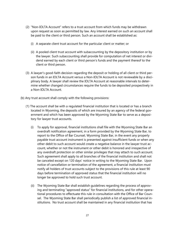- (2) "Non-IOLTA Account" refers to a trust account from which funds may be withdrawn upon request as soon as permitted by law. Any interest earned on such an account shall be paid to the client or third person. Such an account shall be established as:
	- (i) A separate client trust account for the particular client or matter; or
	- (ii) A pooled client trust account with subaccounting by the depository institution or by the lawyer. Such subaccounting shall provide for computation of net interest or dividend earned by each client or third person's funds and the payment thereof to the client or third person.
- (3) A lawyer's good-faith decision regarding the deposit or holding of all client or third person funds in an IOLTA Account versus a Non-IOLTA Account is not reviewable by a disciplinary body. A lawyer shall review the IOLTA Account at reasonable intervals to determine whether changed circumstances require the funds to be deposited prospectively in a Non-IOLTA Account.
- (b) Any trust account shall comply with the following provisions:
	- (1) The account shall be with a regulated financial institution that is located or has a branch located in Wyoming, the deposits of which are insured by an agency of the federal government and which has been approved by the Wyoming State Bar to serve as a depository for lawyer trust accounts.
		- (i) To apply for approval, financial institutions shall file with the Wyoming State Bar an overdraft notification agreement, in a form provided by the Wyoming State Bar, to report to the Office of Bar Counsel, Wyoming State Bar, in the event any properly payable trust account instrument is presented against insufficient funds or when any other debit to such account would create a negative balance in the lawyer trust account, whether or not the instrument or other debit is honored and irrespective of any overdraft protection or other similar privileges that may attach to such account. Such agreement shall apply to all branches of the financial institution and shall not be canceled except on 120 days' notice in writing to the Wyoming State Bar. Upon notice of cancellation or termination of the agreement, a financial institution must notify all holders of trust accounts subject to the provisions of this rule at least 90 days before termination of approved status that the financial institution will no longer be approved to hold such trust account.
		- (ii) The Wyoming State Bar shall establish guidelines regarding the process of approving and terminating "approved status" for financial institutions, and for other operational procedures to effectuate this rule in consultation with the Office of Bar Counsel. The Wyoming State Bar shall periodically publish a list of approved financial institutions. No trust account shall be maintained in any financial institution that has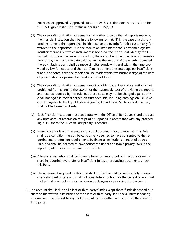not been so approved. Approved status under this section does not substitute for "IOLTA-Eligible Institution" status under Rule 1.15(a)(1).

- (iii) The overdraft notification agreement shall further provide that all reports made by the financial institution shall be in the following format: (1) in the case of a dishonored instrument, the report shall be identical to the overdraft notice customarily forwarded to the depositor; (2) in the case of an instrument that is presented against insufficient funds but which instrument is honored, the report shall identify the financial institution, the lawyer or law firm, the account number, the date of presentation for payment, and the date paid, as well as the amount of the overdraft created thereby. Such reports shall be made simultaneously with, and within the time provided by law for, notice of dishonor. If an instrument presented against insufficient funds is honored, then the report shall be made within five business days of the date of presentation for payment against insufficient funds.
- (iv) The overdraft notification agreement must provide that a financial institution is not prohibited from charging the lawyer for the reasonable cost of providing the reports and records required by this rule, but those costs may not be charged against principal, nor against interest earned on trust accounts, including earnings on IOLTA Accounts payable to the Equal Justice Wyoming Foundation. Such costs, if charged, shall not be borne by clients.
- (v) Each financial institution must cooperate with the Office of Bar Counsel and produce any trust account records on receipt of a subpoena in accordance with any proceeding pursuant to the Rules of Disciplinary Procedure.
- (vi) Every lawyer or law firm maintaining a trust account in accordance with this Rule shall, as a condition thereof, be conclusively deemed to have consented to the reporting and production requirements by financial institutions mandated by this Rule, and shall be deemed to have consented under applicable privacy laws to the reporting of information required by this Rule.
- (vii) A financial institution shall be immune from suit arising out of its actions or omissions in reporting overdrafts or insufficient funds or producing documents under this Rule.
- (viii) The agreement required by this Rule shall not be deemed to create a duty to exercise a standard of care and shall not constitute a contract for the benefit of any third parties that may sustain a loss as a result of lawyers overdrawing trust accounts.
- (2) The account shall include all client or third party funds except those funds deposited pursuant to the written instructions of the client or third party in a special interest bearing account with the interest being paid pursuant to the written instructions of the client or third party.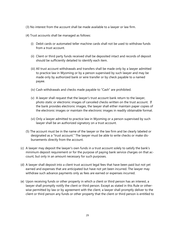- (3) No interest from the account shall be made available to a lawyer or law firm.
- (4) Trust accounts shall be managed as follows:
	- (i) Debit cards or automated teller machine cards shall not be used to withdraw funds from a trust account.
	- (ii) Client or third party funds received shall be deposited intact and records of deposit should be sufficiently detailed to identify each item.
	- (iii) All trust account withdrawals and transfers shall be made only by a lawyer admitted to practice law in Wyoming or by a person supervised by such lawyer and may be made only by authorized bank or wire transfer or by check payable to a named payee.
	- (iv) Cash withdrawals and checks made payable to "Cash" are prohibited.
	- (v) A lawyer shall request that the lawyer's trust account bank return to the lawyer, photo static or electronic images of canceled checks written on the trust account. If the bank provides electronic images, the lawyer shall either maintain paper copies of the electronic images or maintain the electronic images in readily obtainable format.
	- (vi) Only a lawyer admitted to practice law in Wyoming or a person supervised by such lawyer shall be an authorized signatory on a trust account.
- (5) The account must be in the name of the lawyer or the law firm and be clearly labeled or designated as a "trust account." The lawyer must be able to write checks or make disbursements directly from the account.
- (c) A lawyer may deposit the lawyer's own funds in a trust account solely to satisfy the bank's minimum deposit requirement or for the purpose of paying bank service charges on that account, but only in an amount necessary for such purposes.
- (d) A lawyer shall deposit into a client trust account legal fees that have been paid but not yet earned and expenses that are anticipated but have not yet been incurred. The lawyer may withdraw such advance payments only as fees are earned or expenses incurred.
- (e) Upon receiving funds or other property in which a client or third person has an interest, a lawyer shall promptly notify the client or third person. Except as stated in this Rule or otherwise permitted by law or by agreement with the client, a lawyer shall promptly deliver to the client or third person any funds or other property that the client or third person is entitled to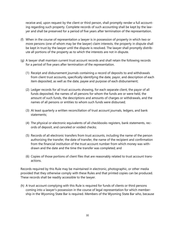receive and, upon request by the client or third person, shall promptly render a full accounting regarding such property. Complete records of such accounting shall be kept by the lawyer and shall be preserved for a period of five years after termination of the representation.

- (f) When in the course of representation a lawyer is in possession of property in which two or more persons (one of whom may be the lawyer) claim interests, the property in dispute shall be kept in trust by the lawyer until the dispute is resolved. The lawyer shall promptly distribute all portions of the property as to which the interests are not in dispute.
- (g) A lawyer shall maintain current trust account records and shall retain the following records for a period of five years after termination of the representation.
	- (1) Receipt and disbursement journals containing a record of deposits to and withdrawals from client trust accounts, specifically identifying the date, payor, and description of each item deposited, as well as the date, payee and purpose of each disbursement;
	- (2) Ledger records for all trust accounts showing, for each separate client, the payor of all funds deposited, the names of all persons for whom the funds are or were held, the amount of such funds, the descriptions and amounts of charges or withdrawals, and the names of all persons or entities to whom such funds were disbursed;
	- (3) At least quarterly a written reconciliation of trust account journals, ledgers, and bank statements;
	- (4) The physical or electronic equivalents of all checkbooks registers, bank statements, records of deposit, and canceled or voided checks;
	- (5) Records of all electronic transfers from trust accounts, including the name of the person authorizing the transfer, the date of transfer, the name of the recipient and confirmation from the financial institution of the trust account number from which money was withdrawn and the date and the time the transfer was completed; and
	- (6) Copies of those portions of client files that are reasonably related to trust account transactions.

Records required by this Rule may be maintained in electronic, photographic, or other media provided that they otherwise comply with these Rules and that printed copies can be produced. These records shall be readily accessible to the lawyer.

(h) A trust account complying with this Rule is required for funds of clients or third persons coming into a lawyer's possession in the course of legal representation for which membership in the Wyoming State Bar is required. Members of the Wyoming State Bar who, because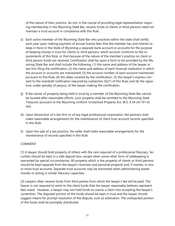of the nature of their practice, do not, in the course of providing legal representation requiring membership in the Wyoming State Bar, receive funds of clients or third persons need not maintain a trust account in compliance with this Rule.

- (i) Each active member of the Wyoming State Bar who practices within the state shall certify each year upon making payment of annual license fees that the member has and intends to keep in force in the State of Wyoming a separate bank account or accounts for the purpose of keeping money in trust for clients or third persons, which account conforms to the requirements of this Rule, or that because of the nature of the member's practice no client or third person funds are received. Certification shall be upon a form to be provided by the Wyoming State Bar and shall include the following: (1) the name and address of the lawyer or law firm filing the certification; (2) the name and address of each financial institution in which the account or accounts are maintained; (3) the account number of each account maintained pursuant to this Rule; (4) the dates covered by the certification; (5) the lawyer's express consent to the overdraft notification required by subsection (b)(1) of this Rule; and (6) the signature, under penalty of perjury, of the lawyer making the certification.
- (j) If the owner of property being held in trust by a member of the Wyoming State Bar cannot be located after reasonable efforts, such property shall be remitted to the Wyoming State Treasurer pursuant to the Wyoming Uniform Unclaimed Property Act, W.S. § 34-24-101 et seq.
- (k) Upon dissolution of a law firm or of any legal professional corporation, the partners shall make reasonable arrangements for the maintenance of client trust account records specified in this Rule.
- (l) Upon the sale of a law practice, the seller shall make reasonable arrangements for the maintenance of records specified in this Rule.

# COMMENT

[1] A lawyer should hold property of others with the care required of a professional fiduciary. Securities should be kept in a safe deposit box, except when some other form of safekeeping is warranted by special circumstances. All property which is the property of clients or third persons should be kept separate from the lawyer's business and personal property and, if monies, in one or more trust accounts. Separate trust accounts may be warranted when administering estate monies or acting in similar fiduciary capacities.

[2] Lawyers often receive funds from third parties from which the lawyer's fee will be paid. The lawyer is not required to remit to the client funds that the lawyer reasonably believes represent fees owed. However, a lawyer may not hold funds to coerce a client into accepting the lawyer's contention. The disputed portion of the funds should be kept in trust and the lawyer should suggest means for prompt resolution of the dispute, such as arbitration. The undisputed portion of the funds shall be promptly distributed.